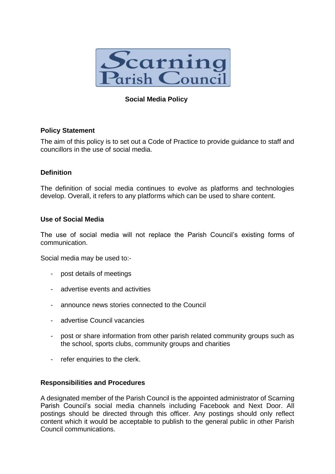

# **Social Media Policy**

#### **Policy Statement**

The aim of this policy is to set out a Code of Practice to provide guidance to staff and councillors in the use of social media.

## **Definition**

The definition of social media continues to evolve as platforms and technologies develop. Overall, it refers to any platforms which can be used to share content.

#### **Use of Social Media**

The use of social media will not replace the Parish Council's existing forms of communication.

Social media may be used to:-

- post details of meetings
- advertise events and activities
- announce news stories connected to the Council
- advertise Council vacancies
- post or share information from other parish related community groups such as the school, sports clubs, community groups and charities
- refer enquiries to the clerk.

#### **Responsibilities and Procedures**

A designated member of the Parish Council is the appointed administrator of Scarning Parish Council's social media channels including Facebook and Next Door. All postings should be directed through this officer. Any postings should only reflect content which it would be acceptable to publish to the general public in other Parish Council communications.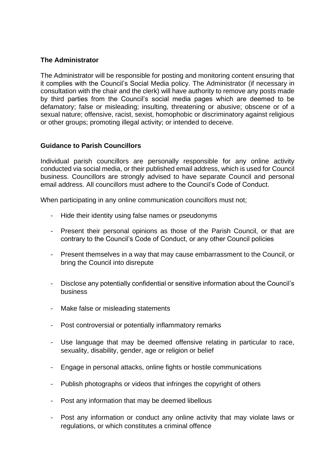### **The Administrator**

The Administrator will be responsible for posting and monitoring content ensuring that it complies with the Council's Social Media policy. The Administrator (if necessary in consultation with the chair and the clerk) will have authority to remove any posts made by third parties from the Council's social media pages which are deemed to be defamatory; false or misleading; insulting, threatening or abusive; obscene or of a sexual nature; offensive, racist, sexist, homophobic or discriminatory against religious or other groups; promoting illegal activity; or intended to deceive.

## **Guidance to Parish Councillors**

Individual parish councillors are personally responsible for any online activity conducted via social media, or their published email address, which is used for Council business. Councillors are strongly advised to have separate Council and personal email address. All councillors must adhere to the Council's Code of Conduct.

When participating in any online communication councillors must not;

- Hide their identity using false names or pseudonyms
- Present their personal opinions as those of the Parish Council, or that are contrary to the Council's Code of Conduct, or any other Council policies
- Present themselves in a way that may cause embarrassment to the Council, or bring the Council into disrepute
- Disclose any potentially confidential or sensitive information about the Council's business
- Make false or misleading statements
- Post controversial or potentially inflammatory remarks
- Use language that may be deemed offensive relating in particular to race, sexuality, disability, gender, age or religion or belief
- Engage in personal attacks, online fights or hostile communications
- Publish photographs or videos that infringes the copyright of others
- Post any information that may be deemed libellous
- Post any information or conduct any online activity that may violate laws or regulations, or which constitutes a criminal offence